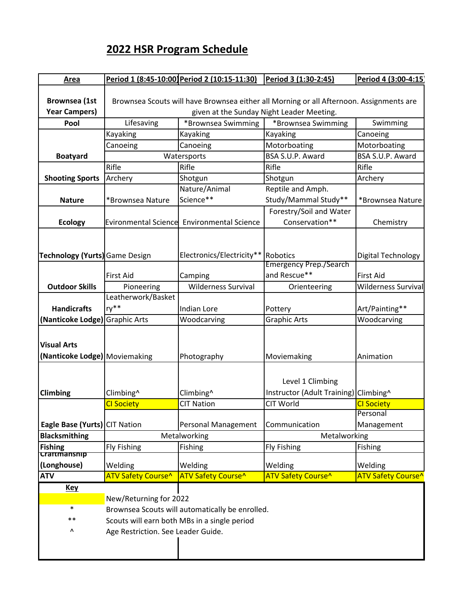## **2022 HSR Program Schedule**

| Area                           |                                                                                         | Period 1 (8:45-10:00 Period 2 (10:15-11:30) | Period 3 (1:30-2:45)                  | Period 4 (3:00-4:15)       |
|--------------------------------|-----------------------------------------------------------------------------------------|---------------------------------------------|---------------------------------------|----------------------------|
| <b>Brownsea</b> (1st           | Brownsea Scouts will have Brownsea either all Morning or all Afternoon. Assignments are |                                             |                                       |                            |
| <b>Year Campers)</b>           | given at the Sunday Night Leader Meeting.                                               |                                             |                                       |                            |
| Pool                           | Lifesaving                                                                              | *Brownsea Swimming                          | *Brownsea Swimming                    | Swimming                   |
|                                | Kayaking                                                                                | Kayaking                                    | Kayaking                              | Canoeing                   |
|                                | Canoeing                                                                                | Canoeing                                    | Motorboating                          | Motorboating               |
| <b>Boatyard</b>                |                                                                                         | Watersports                                 | BSA S.U.P. Award                      | BSA S.U.P. Award           |
|                                | Rifle                                                                                   | Rifle                                       | Rifle                                 | Rifle                      |
| <b>Shooting Sports</b>         | Archery                                                                                 | Shotgun                                     | Shotgun                               | Archery                    |
|                                |                                                                                         | Nature/Animal                               | Reptile and Amph.                     |                            |
| <b>Nature</b>                  | *Brownsea Nature                                                                        | Science**                                   | Study/Mammal Study**                  | *Brownsea Nature           |
|                                |                                                                                         |                                             | Forestry/Soil and Water               |                            |
| <b>Ecology</b>                 | <b>Evironmental Science</b>                                                             | <b>Environmental Science</b>                | Conservation**                        | Chemistry                  |
|                                |                                                                                         |                                             |                                       |                            |
|                                |                                                                                         |                                             |                                       |                            |
| Technology (Yurts) Game Design |                                                                                         | Electronics/Electricity**                   | Robotics                              | Digital Technology         |
|                                |                                                                                         |                                             | <b>Emergency Prep./Search</b>         |                            |
|                                | <b>First Aid</b>                                                                        | Camping                                     | and Rescue**                          | <b>First Aid</b>           |
| <b>Outdoor Skills</b>          | Pioneering                                                                              | <b>Wilderness Survival</b>                  | Orienteering                          | <b>Wilderness Survival</b> |
|                                | Leatherwork/Basket                                                                      |                                             |                                       |                            |
| <b>Handicrafts</b>             | ry**                                                                                    | <b>Indian Lore</b>                          | Pottery                               | Art/Painting**             |
| (Nanticoke Lodge) Graphic Arts |                                                                                         | Woodcarving                                 | <b>Graphic Arts</b>                   | Woodcarving                |
|                                |                                                                                         |                                             |                                       |                            |
| <b>Visual Arts</b>             |                                                                                         |                                             |                                       |                            |
| (Nanticoke Lodge) Moviemaking  |                                                                                         | Photography                                 | Moviemaking                           | Animation                  |
|                                |                                                                                         |                                             |                                       |                            |
|                                |                                                                                         |                                             | Level 1 Climbing                      |                            |
| Climbing                       |                                                                                         |                                             | Instructor (Adult Training) Climbing^ |                            |
|                                | Climbing^<br><b>CI Society</b>                                                          | Climbing^<br><b>CIT Nation</b>              | CIT World                             | <b>CI Society</b>          |
|                                |                                                                                         |                                             |                                       | Personal                   |
| Eagle Base (Yurts) CIT Nation  |                                                                                         | Personal Management                         | Communication                         | Management                 |
| <b>Blacksmithing</b>           |                                                                                         | Metalworking                                | Metalworking                          |                            |
| <b>Fishing</b>                 | <b>Fly Fishing</b>                                                                      | Fishing                                     | <b>Fly Fishing</b>                    | <b>Fishing</b>             |
| craftmanship                   |                                                                                         |                                             |                                       |                            |
| (Longhouse)                    | Welding                                                                                 | Welding                                     | Welding                               | Welding                    |
| <b>ATV</b>                     | <b>ATV Safety Course<sup>^</sup></b>                                                    | <b>ATV Safety Course^</b>                   | ATV Safety Course^                    | <b>ATV Safety Course^</b>  |
| <u>Key</u>                     |                                                                                         |                                             |                                       |                            |
|                                | New/Returning for 2022                                                                  |                                             |                                       |                            |
| $\ast$                         | Brownsea Scouts will automatically be enrolled.                                         |                                             |                                       |                            |
| $***$                          | Scouts will earn both MBs in a single period                                            |                                             |                                       |                            |
| ٨                              | Age Restriction. See Leader Guide.                                                      |                                             |                                       |                            |
|                                |                                                                                         |                                             |                                       |                            |
|                                |                                                                                         |                                             |                                       |                            |